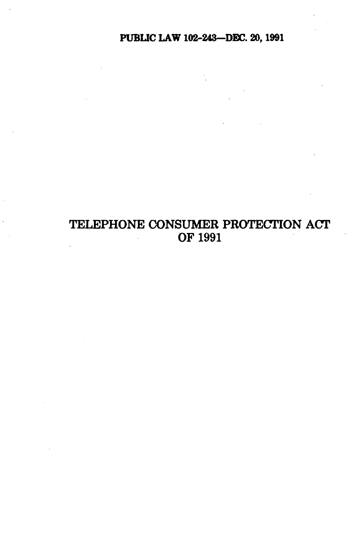PUBLIC LAW 102-243--DEC. 20, 1991

# TELEPHONE CONSUMER PROTECTION ACT OF 1991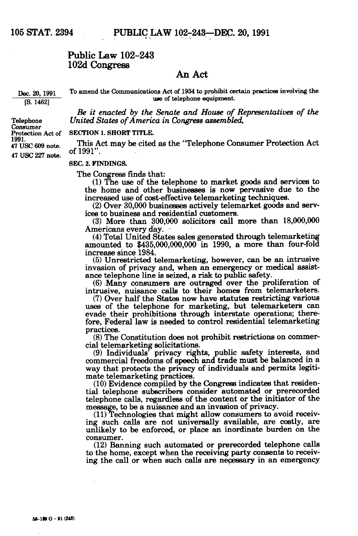# Public Law 102-243 **102d Congress**

# **An Act**

Dec. 20, 1991 To amend the Communications Act of 1934 to prohibit certain practices involving the  $[$ S. 1462 $]$  use of telephone equipment.

*Be it enacted by the Senate and House of Representatives of the* Telephone *United States of America in Congress assembled,*

**SECTION 1. SHORT TITLE.** 

This Act may be cited as the "Telephone Consumer Protection Act of 1991".

#### SEC. 2. FINDINGS.

The Congress finds that:

(1) The use of the telephone to market goods and services to the home and other businesses is now pervasive due to the increased use of cost-effective telemarketing techniques.

(2) Over 30,000 businesses actively telemarket goods and services to business and residential customers.

(3) More than 300,000 solicitors call more than 18,000,000

(4) Total United States sales generated through telemarketing amounted to \$435,000,000,000 in 1990, a more than four-fold increase since 1984.

(5) Unrestricted telemarketing, however, can be an intrusive invasion of privacy and, when an emergency or medical assistance telephone line is seized, a risk to public safety.

(6) Many consumers are outraged over the proliferation of intrusive, nuisance calls to their homes from telemarketers.

(7) Over half the States now have statutes restricting various uses of the telephone for marketing, but telemarketers can evade their prohibitions through interstate operations; therefore, Federal law is needed to control residential telemarketing practices.

(8) The Constitution does not prohibit restrictions on commercial telemarketing solicitations.

(9) Individuals privacy rights, public safety interests, and commercial freedoms of speech and trade must be balanced in a way that protects the privacy of individuals and permits legitimate telemarketing practices.

(10) Evidence compiled by the Congress indicates that residential telephone subscribers consider automated or prerecorded telephone calls, regardless of the content or the initiator of the message, to be a nuisance and an invasion of privacy.

(11) Technologies that might allow consumers to avoid receiving such calls are not universally available, are costly, are unlikely to be enforced, or place an inordinate burden on the consumer.

(12) Banning such automated or prerecorded telephone calls to the home, except when the receiving party consents to receiving the call or when such calls are necessary in an emergency

47 USC 227 note.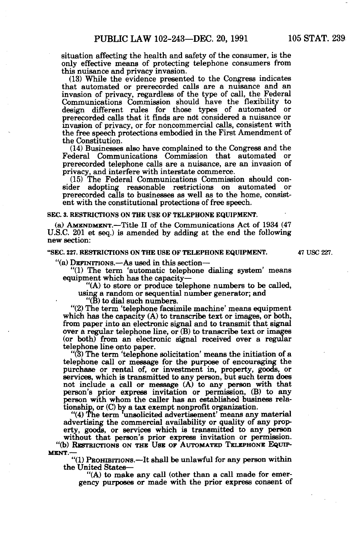situation affecting the health and safety of the consumer, is the only effective means of protecting telephone consumers from this nuisance and privacy invasion.

(13) While the evidence presented to the Congress indicates that automated or prerecorded calls are a nuisance and an invasion of privacy, regardless of the type of call, the Federal Communications Commission should have the flexibility to design different rules for those types of automated or prerecorded calls that it finds are ndt considered a nuisance or invasion of privacy, or for noncommercial calls, consistent with the free speech protections embodied in the First Amendment of the Constitution.

(14) Businesses also have complained to the Congress and the Federal Communications Commission that automated or prerecorded telephone calls are a nuisance, are an invasion of privacy, and interfere with interstate commerce.

(15) The Federal Communications Commission should consider adopting reasonable restrictions on automated or prerecorded calls to businesses as well as to the home, consistent with the constitutional protections of free speech.

#### SEC. 3. RESTRICTIONS ON THE USE OF TELEPHONE EQUIPMENT.

(a) AMENDMENT.—Title II of the Communications Act of 1934 (47) U.S.C. 201 et seq.) is amended by adding at the end the following new section:

### **"SEC. 227.** RESTRICTIONS ON THE USE OF TELEPHONE EQUIPMENT. 47 USC 227.

"(a) DEFINITIONS.—As used in this section--

"(1) The term 'automatic telephone dialing system' means equipment which has the capacity-

"(A) to store or produce telephone numbers to be called, using a random or sequential number generator; and

"(B) to dial such numbers.

"(2) The term 'telephone facsimile machine' means equipment which has the capacity (A) to transcribe text or images, or both, from paper into an electronic signal and to transmit that signal over a regular telephone line, or (B) to transcribe text or images (or both) from an electronic signal received over a regular telephone line onto paper.

"(3) The term 'telephone solicitation' means the initiation of a telephone call or message for the purpose of encouraging the purchase or rental of, or investment in, property, goods, or services, which is transmitted to any person, but such term does not include a call or message (A) to any person with that person's prior express invitation or permission, (B) to any person with whom the caller has an established business relationship, or (C) by a tax exempt nonprofit organization.

 $''(4)$  The term unsolicited advertisement' means any material advertising the commercial availability or quality of any property, goods, or services which is transmitted to any person

without that person's prior express invitation or permission. "(b) RESTRICTIONS ON THE USE OF AUTOMATED TELLPHONE EQUIP-MENT.

"(1) PROHIBITIONS.-It shall be unlawful for any person within the United States-

"(A) to make any call (other than a call made for emergency purposes or made with the prior express consent of

105 STAT. 239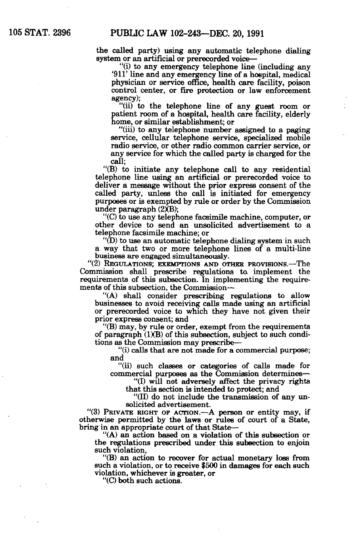the called party) using any automatic telephone dialing system or an artificial or prerecorded voice-

"(i) to any emergency telephone line (including any '911' line and any emergency line of a hospital, medical physician or service office, health care facility, poison control center, or fire protection or law enforcement agency);

"(ii) to the telephone line of any guest room or patient room of a hospital, health care facility, elderly home, or similar establishment; or

"(iii) to any telephone number assigned to a paging service, cellular telephone service, specialized mobile radio service, or other radio common carrier service, or any service for which the called party is charged for the call;

"(B) to initiate any telephone call to any residential telephone line using an artificial or prerecorded voice to deliver a message without the prior express consent of the called party, unless the call is initiated for emergency purposes or is exempted by rule or order by the Commission under paragraph (2XB);

"(C) to use any telephone facsimile machine, computer, or other device to send an unsolicited advertisement to a telephone facsimile machine; or

"(D) to use an automatic telephone dialing system in such a way that two or more telephone lines of a multi-line business are engaged simultaneously.

"(2) REGULATIONS; EXEMPTIONS AND OTHER PROVISIONS.-The Commission shall prescribe regulations to. implement the requirements of this subsection. In implementing the requirements of this subsection, the Commission-

"(A) shall consider prescribing regulations to allow businesses to avoid receiving calls made using an artificial or prerecorded voice to which they have not given their prior express consent; and

"(B) may, by rule or order, exempt from the requirements of paragraph (1)(B) of this subsection, subject to such conditions as the Commission may prescribe-

"(i) calls that are not made for a commercial purpose; and

"(ii) such classes or categories of calls made for commercial purposes as the Commission determines-

"(I) will not adversely affect the privacy rights

that this section is intended to protect; and

"(II) do not include the transmission of any unsolicited advertisement.

"(3) PRIVATE RIGHT OF ACTION.-A person or entity may, if otherwise permitted by the laws or rules of court of a State, bring in an appropriate court of that State--

"(A) an action based on a violation of this subsection or the regulations prescribed under this subsection to enjoin such violation,

"(B) an action to recover for actual monetary loss from such a violation, or to receive \$500 in damages for each such violation, whichever is greater, or

"(C) both such actions.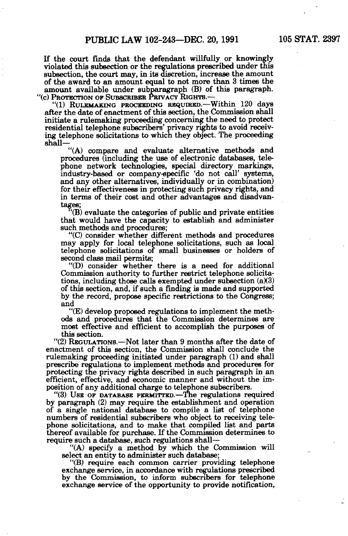If the court finds that the defendant willfully or knowingly violated this subsection or the regulations prescribed under this subsection, the court may, in its discretion, increase the amount of the award to an amount equal to not more than 3 times the amount available under subparagraph (B) of this paragraph. "(c) PROTECTION OF SUBSCRIBER PRIVACY RIGHTS.-

"(1) **RULMAXIrNG** PROCEEDING REQUIED.-Within 120 days after the date of enactment of this section, the Commission shall initiate a rulemaking proceeding concerning the need to protect residential telephone subscribers' privacy rights to avoid receiving telephone solicitations to which they object. The proceeding shall-

"(A) compare and evaluate alternative methods and procedures (including the use of electronic databases, telephone network technologies, special directory markings, industry-based or company-specific 'do not call' systems, and any other alternatives, individually or in combination) for their effectiveness in protecting such privacy rights, and in terms of their cost and other advantages and disadvantages;

 $\Theta$  evaluate the categories of public and private entities that would have the capacity to establish and administer such methods and procedures;

"(C) consider whether different methods and procedures may apply for local telephone solicitations, such as local telephone solicitations of small businesses or holders of second class mail permits;

"(D) consider whether there is a need for additional Commission authority to further restrict telephone solicitations, including those calls exempted under subsection  $(a)(3)$ of this section, and, if such a finding is made and supported by the record, propose specific restrictions to the Congress; and

"(E) develop proposed regulations to implement the methods and procedures that the Commission determines are most effective and efficient to accomplish the purposes of this section.

"(2) REGULATIONS.—Not later than 9 months after the date of enactment of this section, the Commission shall conclude the rulemaking proceeding initiated under paragraph (1) and shall prescribe regulations to implement methods and procedures for protecting the privacy rights described in such paragraph in an efficient, effective, and economic manner and without the imposition of any additional charge to telephone subscribers.

 $(3)$  Use OF DATABASE PERMITTED.—The regulations required by paragraph (2) may require the establishment and operation of a single national database to compile a list of telephone numbers of residential subscribers who object to receiving telephone solicitations, and to make that compiled list and parts thereof available for purchase. If the Commission determines to require such a database, such regulations shall-

"(A) specify a method by which the Commission will select an entity to administer such database;

"(B) require each common carrier providing telephone exchange service, in accordance with regulations prescribed by the Commission, to inform subscribers for telephone exchange service of the opportunity to provide notification,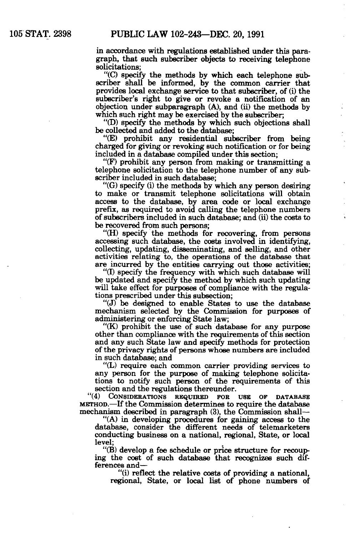in accordance with regulations established under this paragraph, that such subscriber objects to receiving telephone solicitations;

"(C) specify the methods by which each telephone subscriber shall be informed, by the common carrier that provides local exchange service to that subscriber, of (i) the subscriber's right to give or revoke a notification of an objection under subparagraph (A), and (ii) the methods by which such right may be exercised by the subscriber,

"(D) specify the methods by which such objections shall be collected and added to the database;

"(E) prohibit any residential subscriber from being charged for giving or revoking such notification or for being included in a database compiled under this section;

"(F) prohibit any person from making or transmitting a telephone solicitation to the telephone number of any subscriber included in such database;

"(G) specify (i) the methods by which any person desiring to make or transmit telephone solicitations will obtain access to the database, by area code or local exchange prefix, as required to avoid calling the telephone numbers of subscribers included in such database; and (ii) the costs to be recovered from such persons;

"(H) specify the methods for recovering, from persons accessing such database, the costs involved in identifying, collecting, updating, disseminating, and selling, and other activities relating to, the operations of the database that are incurred by the entities carrying out those activities;

"(I) specify the frequency with which such database will be updated and specify the method by which such updating will take effect for purposes of compliance with the regulations prescribed under this subsection;

"(J) be designed to enable States to use the database mechanism selected by the Commission for purposes of administering or enforcing State law;

"(K) prohibit the use of such database for any purpose other than compliance with the requirements of this section and any such State law and specify methods for protection of the privacy rights of persons whose numbers are included in such database; and

"(L) require each common carrier providing services to any person for the purpose of making telephone solicitations to notify such person of the requirements of this section and the regulations thereunder.

"(4) **CONSIDERATIONS REQUIRED FOR USE OF DATABASE** METHOD.-If the Commission determines to require the database mechanism described in paragraph (3), the Commission shall-

"(A) in developing procedures for gaining access to the database, consider the different needs of telemarketers conducting business on a national, regional, State, or local level;

"(B) develop a fee schedule or price structure for recoup- ing the cost of such database that recognizes such differences and-

"(i) reflect the relative costs of providing a national, regional, State, or local list of phone numbers of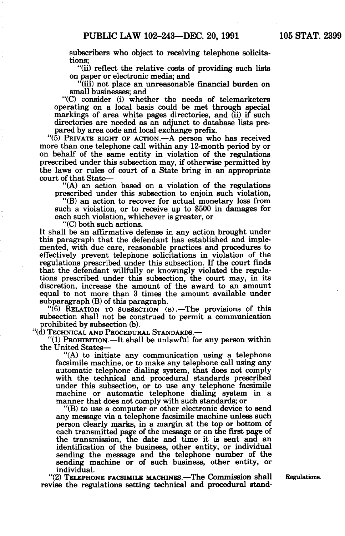subscribers who object to receiving telephone solicitations;

"(ii) reflect the relative costs of providing such lists on paper or electronic media; and

(iii) not place an unreasonable financial burden on small businesses; and

"(C) consider (i) whether the needs of telemarketers operating on a local basis could be met through special markings of area white pages directories, and (ii) if such directories are needed as an adjunct to database lists prepared by area code and local exchange prefix.

"(5) PRIVATE RIGHT OF ACTION.-A person who has received more than one telephone call within any 12-month period by or on behalf of the same entity in violation of the regulations prescribed under this subsection may, if otherwise permitted by the laws or rules of court of a State bring in an appropriate court of that State-

"(A) an action based on a violation of the regulations prescribed under this subsection to enjoin such violation,

"(B) an action to recover for actual monetary loss from such a violation, or to receive up to \$500 in damages for each such violation, whichever is greater, or

"(C) both such actions.

It shall be an affirmative defense in any action brought under this paragraph that the defendant has established and implemented, with due care, reasonable practices and procedures to effectively prevent telephone solicitations in violation of the regulations prescribed under this subsection. If the court finds that the defendant willfully or knowingly violated the regulations prescribed under this subsection, the court may, in its discretion, increase the amount of the award to an amount equal to not more than 3 times the amount available under subparagraph (B) of this paragraph.

 $\cdot$  (6) RELATION TO SUBSECTION (B).—The provisions of this subsection shall not be construed to permit a communication prohibited by subsection (b).

"(d) Technical and Procedural Standards.-

 $(1)$  ProHIBITION.—It shall be unlawful for any person within the United States-

"(A) to initiate any communication using a telephone facsimile machine, or to make any telephone call using any automatic telephone dialing system, that does not comply with the technical and procedural standards prescribed under this subsection, or to use any telephone facsimile machine or automatic telephone dialing system in a manner that does not comply with such standards; or

"(B) to use a computer or other electronic device to send any message via a telephone facsimile machine unless such person clearly marks, in a margin at the top or bottom of each transmitted page of the message or on the first page of the transmission, the date and time it is sent and an identification of the business, other entity, or individual sending the message and the telephone number of the sending machine or of such business, other entity, or individual.

"(2) TELEPHONE FACSIMILE MACHINES.-The Commission shall revise the regulations setting technical and procedural standRegulations.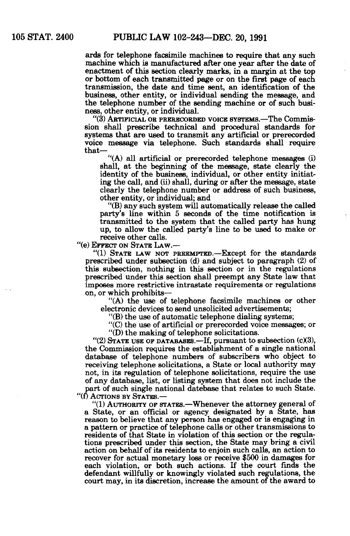ards for telephone facsimile machines to require that any such machine which is manufactured after one year after the date of enactment of this section clearly marks, in a margin at the top or bottom of each transmitted page or on the first page of each transmission, the date and time sent, an identification of the business, other entity, or individual sending the message, and the telephone number of the sending machine or of such business, other entity, or individual.

"(3) ARTIFICIAL OR PRERECORDED VOICE SYSTEMS.—The Commission shall prescribe technical and procedural standards for systems that are used to transmit any artificial or prerecorded voice message via telephone. Such standards shall require that-

"(A) all artificial or prerecorded telephone messages (i) shall, at the beginning of the message, state clearly the identity of the business, individual, or other entity initiating the call, and (ii) shall, during or after the message, state clearly the telephone number or address of such business, other entity, or individual; and

"(B) any such system will automatically release the called party's line within 5 seconds of the time notification is transmitted to the system that the called party has hung up, to allow the called party's line to be used to make or receive other calls.

**"(e)** EFFEcr ON STATE LAW.-

"(1) STATE LAW NOT **PREEMPTED.-Except** for the standards prescribed under subsection (d) and subject to paragraph (2) of this subsection, nothing in this section or in the regulations prescribed under this section shall preempt any State law that imposes more restrictive intrastate requirements or regulations on, or which prohibits-

"(A) the use of telephone facsimile machines or other electronic devices to send unsolicited advertisements;

"(B) the use of automatic telephone dialing systems;

"(C) the use of artificial or prerecorded voice messages; or

"(D) the making of telephone solicitations.

"(2) STATE USE OF DATABASES.—If, pursuant to subsection  $(c)(3)$ , the Commission requires the establishment of a single national database of telephone numbers of subscribers who object to receiving telephone solicitations, a State or local authority may not, in its regulation of telephone solicitations, require the use of any database, list, or listing system that does not include the part of such single national datebase that relates to such State. "(f) AcrIONs BY STATES.-

"(1) AUTHORITY OF STATES.-Whenever the attorney general of a State, or an official or agency designated by a State, has reason to believe that any person has engaged or is engaging in a pattern or practice of telephone calls or other transmissions to residents of that State in violation of this section or the regulations prescribed under this section, the State may bring a civil action on behalf of its residents to enjoin such calls, an action to recover for actual monetary loss or receive \$500 in damages for each violation, or both such actions. If the court finds the defendant willfully or knowingly violated such regulations, the court may, in its discretion, increase the amount of the award to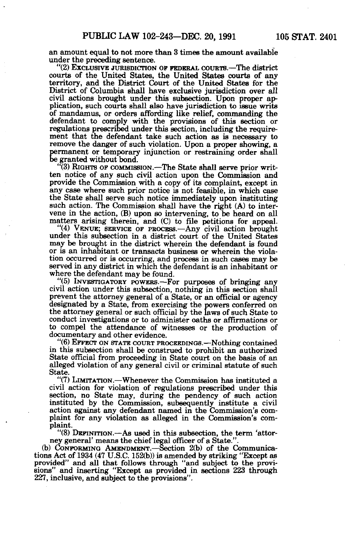an amount equal to not more than 3 times the amount available under the preceding sentence.

"(2) **EXCLUSIVE JURISDICTION OF FEDERAL COURTS.**—The district courts of the United States, the United States courts of any territory, and the District Court of the United States for the District of Columbia shall have exclusive jurisdiction over all civil actions brought under this subsection. Upon proper application, such courts shall also have jurisdiction to issue writs of mandamus, or orders affording like relief, commanding the defendant to comply with the provisions of this section or regulations prescribed under this section, including the requirement that the defendant take such action as is necessary to remove the danger of such violation. Upon a proper showing, a permanent or temporary injunction or restraining order shall be granted without bond.

'(3) RIGHTs OF COMMIssION.-The State shall serve prior written notice of any such civil action upon the Commission and provide the Commission with a copy of its complaint, except in any case where such prior notice is not feasible, in which case the State shall serve such notice immediately upon instituting such action. The Commission shall have the right (A) to intervene in the action, (B) upon so intervening, to be heard on all

matters arising therein, and (C) to file petitions for appeal. "(4) VENUE; SERVICE OF PROCESS.—Any civil action brought under this subsection in a district court of the United States may be brought in the district wherein the defendant is found or **is** an inhabitant or transacts business or wherein the violation occurred or is occurring, and process in such cases may be served in any district in which the defendant is an inhabitant or

where the defendant may be found.<br>"(5) INVESTIGATORY POWERS.—For purposes of bringing any civil action under this subsection, nothing in this section shall<br>prevent the attorney general of a State, or an official or agency designated by a State, from exercising the powers conferred on the attorney general or such official by the laws of such State to conduct investigations or to administer oaths or affirmations or to compel the attendance of witnesses or the production of documentary and other evidence.

<sup>'(6)</sup> EFFECT ON STATE COURT PROCEEDINGS.-Nothing contained in this subsection shall be construed to prohibit an authorized State official from proceeding in State court on the basis of an alleged violation of any general civil or criminal statute of such State.

"(7) LIMTATION.-Whenever the Commission has instituted a civil action for violation of regulations prescribed under this section, no State may, during the pendency of such action instituted by the Commission, subsequently institute a civil action against any defendant named in the Commission's complaint for any violation as alleged in the Commission's complaint.

"(8) DFINmrION.-As used in this subsection, the term 'attorney general' means the chief legal officer of a State.".

(b) CONFORMING AMENDMENT.<sup>-Section 2(b)</sup> of the Communications Act of 1934 (47 U.S.C. 152(b)) is amended by striking "Except as sions" and inserting "Except as provided in sections 223 through 227, inclusive, and subject to the provisions".